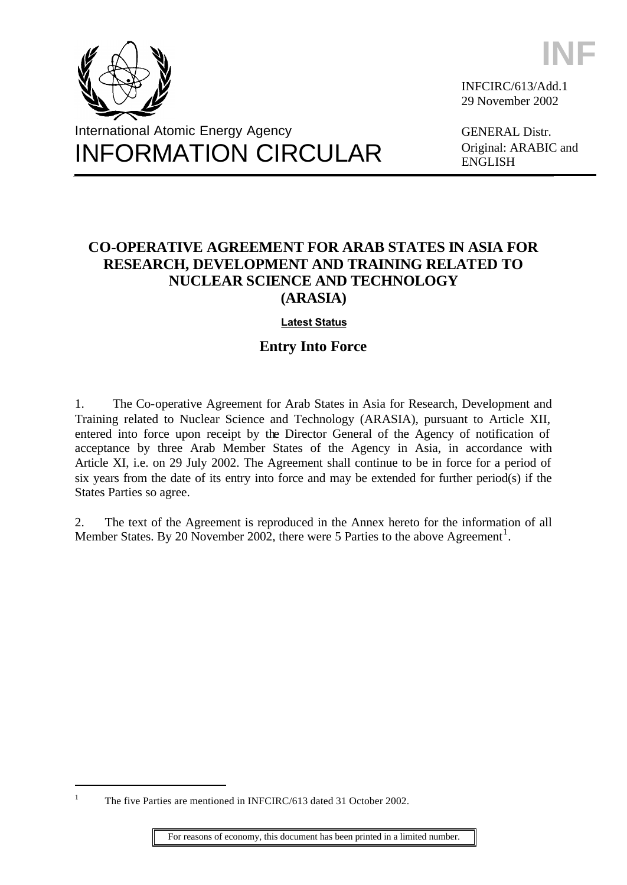



INFCIRC/613/Add.1 29 November 2002

GENERAL Distr. Original: ARABIC and ENGLISH

# **CO-OPERATIVE AGREEMENT FOR ARAB STATES IN ASIA FOR RESEARCH, DEVELOPMENT AND TRAINING RELATED TO NUCLEAR SCIENCE AND TECHNOLOGY (ARASIA)**

## **[Latest Status](http://www.iaea.org/Publications/Documents/Conventions/arasia_status.pdf)**

## **Entry Into Force**

1. The Co-operative Agreement for Arab States in Asia for Research, Development and Training related to Nuclear Science and Technology (ARASIA), pursuant to Article XII, entered into force upon receipt by the Director General of the Agency of notification of acceptance by three Arab Member States of the Agency in Asia, in accordance with Article XI, i.e. on 29 July 2002. The Agreement shall continue to be in force for a period of six years from the date of its entry into force and may be extended for further period(s) if the States Parties so agree.

2. The text of the Agreement is reproduced in the Annex hereto for the information of all Member States. By 20 November 2002, there were 5 Parties to the above Agreement<sup>1</sup>.

l

<sup>1</sup> The five Parties are mentioned in INFCIRC/613 dated 31 October 2002.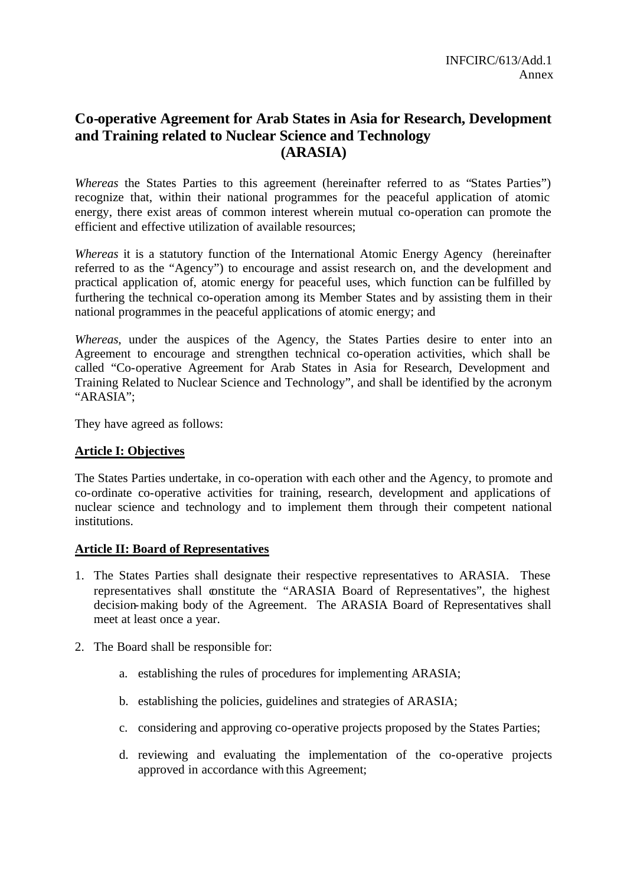## **Co-operative Agreement for Arab States in Asia for Research, Development and Training related to Nuclear Science and Technology (ARASIA)**

*Whereas* the States Parties to this agreement (hereinafter referred to as "States Parties") recognize that, within their national programmes for the peaceful application of atomic energy, there exist areas of common interest wherein mutual co-operation can promote the efficient and effective utilization of available resources;

*Whereas* it is a statutory function of the International Atomic Energy Agency (hereinafter referred to as the "Agency") to encourage and assist research on, and the development and practical application of, atomic energy for peaceful uses, which function can be fulfilled by furthering the technical co-operation among its Member States and by assisting them in their national programmes in the peaceful applications of atomic energy; and

*Whereas*, under the auspices of the Agency, the States Parties desire to enter into an Agreement to encourage and strengthen technical co-operation activities, which shall be called "Co-operative Agreement for Arab States in Asia for Research, Development and Training Related to Nuclear Science and Technology", and shall be identified by the acronym "ARASIA";

They have agreed as follows:

#### **Article I: Objectives**

The States Parties undertake, in co-operation with each other and the Agency, to promote and co-ordinate co-operative activities for training, research, development and applications of nuclear science and technology and to implement them through their competent national institutions.

#### **Article II: Board of Representatives**

- 1. The States Parties shall designate their respective representatives to ARASIA. These representatives shall constitute the "ARASIA Board of Representatives", the highest decision-making body of the Agreement. The ARASIA Board of Representatives shall meet at least once a year.
- 2. The Board shall be responsible for:
	- a. establishing the rules of procedures for implementing ARASIA;
	- b. establishing the policies, guidelines and strategies of ARASIA;
	- c. considering and approving co-operative projects proposed by the States Parties;
	- d. reviewing and evaluating the implementation of the co-operative projects approved in accordance with this Agreement;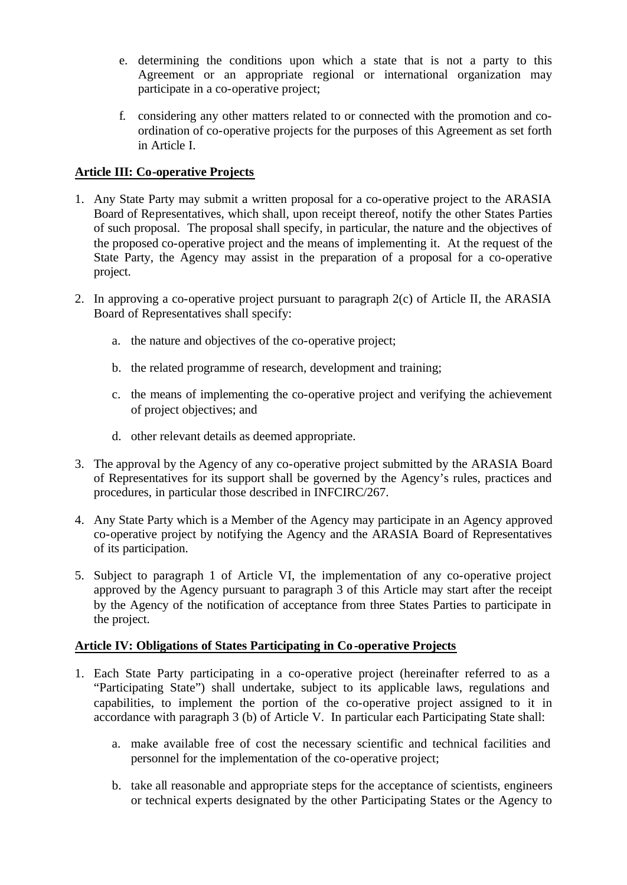- e. determining the conditions upon which a state that is not a party to this Agreement or an appropriate regional or international organization may participate in a co-operative project;
- f. considering any other matters related to or connected with the promotion and coordination of co-operative projects for the purposes of this Agreement as set forth in Article I.

## **Article III: Co-operative Projects**

- 1. Any State Party may submit a written proposal for a co-operative project to the ARASIA Board of Representatives, which shall, upon receipt thereof, notify the other States Parties of such proposal. The proposal shall specify, in particular, the nature and the objectives of the proposed co-operative project and the means of implementing it. At the request of the State Party, the Agency may assist in the preparation of a proposal for a co-operative project.
- 2. In approving a co-operative project pursuant to paragraph 2(c) of Article II, the ARASIA Board of Representatives shall specify:
	- a. the nature and objectives of the co-operative project;
	- b. the related programme of research, development and training;
	- c. the means of implementing the co-operative project and verifying the achievement of project objectives; and
	- d. other relevant details as deemed appropriate.
- 3. The approval by the Agency of any co-operative project submitted by the ARASIA Board of Representatives for its support shall be governed by the Agency's rules, practices and procedures, in particular those described in INFCIRC/267.
- 4. Any State Party which is a Member of the Agency may participate in an Agency approved co-operative project by notifying the Agency and the ARASIA Board of Representatives of its participation.
- 5. Subject to paragraph 1 of Article VI, the implementation of any co-operative project approved by the Agency pursuant to paragraph 3 of this Article may start after the receipt by the Agency of the notification of acceptance from three States Parties to participate in the project.

## **Article IV: Obligations of States Participating in Co-operative Projects**

- 1. Each State Party participating in a co-operative project (hereinafter referred to as a "Participating State") shall undertake, subject to its applicable laws, regulations and capabilities, to implement the portion of the co-operative project assigned to it in accordance with paragraph 3 (b) of Article V. In particular each Participating State shall:
	- a. make available free of cost the necessary scientific and technical facilities and personnel for the implementation of the co-operative project;
	- b. take all reasonable and appropriate steps for the acceptance of scientists, engineers or technical experts designated by the other Participating States or the Agency to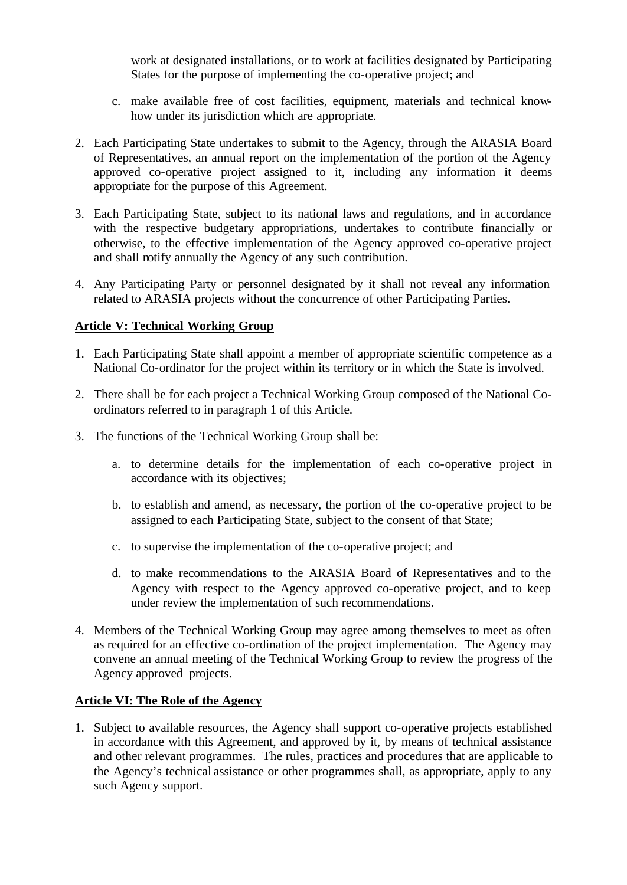work at designated installations, or to work at facilities designated by Participating States for the purpose of implementing the co-operative project; and

- c. make available free of cost facilities, equipment, materials and technical knowhow under its jurisdiction which are appropriate.
- 2. Each Participating State undertakes to submit to the Agency, through the ARASIA Board of Representatives, an annual report on the implementation of the portion of the Agency approved co-operative project assigned to it, including any information it deems appropriate for the purpose of this Agreement.
- 3. Each Participating State, subject to its national laws and regulations, and in accordance with the respective budgetary appropriations, undertakes to contribute financially or otherwise, to the effective implementation of the Agency approved co-operative project and shall notify annually the Agency of any such contribution.
- 4. Any Participating Party or personnel designated by it shall not reveal any information related to ARASIA projects without the concurrence of other Participating Parties.

## **Article V: Technical Working Group**

- 1. Each Participating State shall appoint a member of appropriate scientific competence as a National Co-ordinator for the project within its territory or in which the State is involved.
- 2. There shall be for each project a Technical Working Group composed of the National Coordinators referred to in paragraph 1 of this Article.
- 3. The functions of the Technical Working Group shall be:
	- a. to determine details for the implementation of each co-operative project in accordance with its objectives;
	- b. to establish and amend, as necessary, the portion of the co-operative project to be assigned to each Participating State, subject to the consent of that State;
	- c. to supervise the implementation of the co-operative project; and
	- d. to make recommendations to the ARASIA Board of Representatives and to the Agency with respect to the Agency approved co-operative project, and to keep under review the implementation of such recommendations.
- 4. Members of the Technical Working Group may agree among themselves to meet as often as required for an effective co-ordination of the project implementation. The Agency may convene an annual meeting of the Technical Working Group to review the progress of the Agency approved projects.

#### **Article VI: The Role of the Agency**

1. Subject to available resources, the Agency shall support co-operative projects established in accordance with this Agreement, and approved by it, by means of technical assistance and other relevant programmes. The rules, practices and procedures that are applicable to the Agency's technical assistance or other programmes shall, as appropriate, apply to any such Agency support.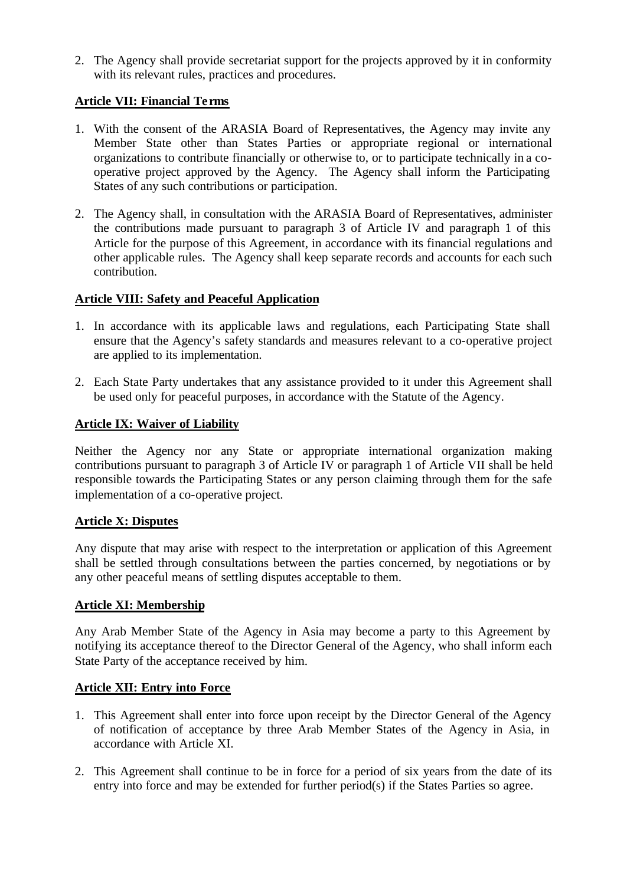2. The Agency shall provide secretariat support for the projects approved by it in conformity with its relevant rules, practices and procedures.

## **Article VII: Financial Te rms**

- 1. With the consent of the ARASIA Board of Representatives, the Agency may invite any Member State other than States Parties or appropriate regional or international organizations to contribute financially or otherwise to, or to participate technically in a cooperative project approved by the Agency. The Agency shall inform the Participating States of any such contributions or participation.
- 2. The Agency shall, in consultation with the ARASIA Board of Representatives, administer the contributions made pursuant to paragraph 3 of Article IV and paragraph 1 of this Article for the purpose of this Agreement, in accordance with its financial regulations and other applicable rules. The Agency shall keep separate records and accounts for each such contribution.

## **Article VIII: Safety and Peaceful Application**

- 1. In accordance with its applicable laws and regulations, each Participating State shall ensure that the Agency's safety standards and measures relevant to a co-operative project are applied to its implementation.
- 2. Each State Party undertakes that any assistance provided to it under this Agreement shall be used only for peaceful purposes, in accordance with the Statute of the Agency.

#### **Article IX: Waiver of Liability**

Neither the Agency nor any State or appropriate international organization making contributions pursuant to paragraph 3 of Article IV or paragraph 1 of Article VII shall be held responsible towards the Participating States or any person claiming through them for the safe implementation of a co-operative project.

#### **Article X: Disputes**

Any dispute that may arise with respect to the interpretation or application of this Agreement shall be settled through consultations between the parties concerned, by negotiations or by any other peaceful means of settling disputes acceptable to them.

## **Article XI: Membership**

Any Arab Member State of the Agency in Asia may become a party to this Agreement by notifying its acceptance thereof to the Director General of the Agency, who shall inform each State Party of the acceptance received by him.

#### **Article XII: Entry into Force**

- 1. This Agreement shall enter into force upon receipt by the Director General of the Agency of notification of acceptance by three Arab Member States of the Agency in Asia, in accordance with Article XI.
- 2. This Agreement shall continue to be in force for a period of six years from the date of its entry into force and may be extended for further period(s) if the States Parties so agree.